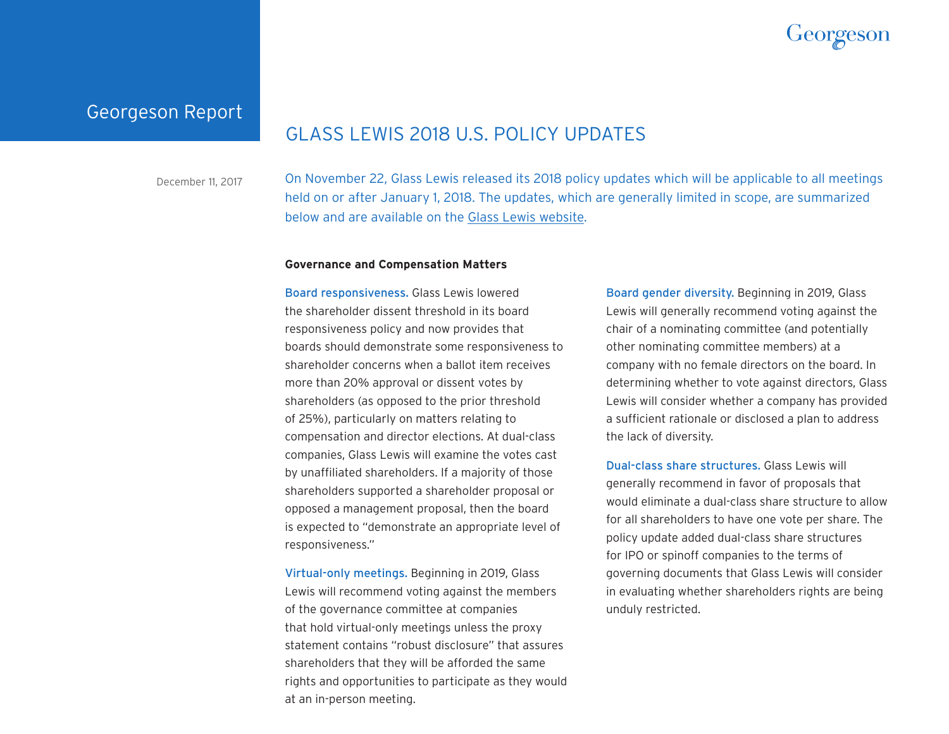

## Georgeson Report

# GLASS LEWIS 2018 U.S. POLICY UPDATES

December 11, 2017 On November 22, Glass Lewis released its 2018 policy updates which will be applicable to all meetings held on or after January 1, 2018. The updates, which are generally limited in scope, are summarized below and are available on the [Glass Lewis website](http://www.glasslewis.com/guidelines/).

### **Governance and Compensation Matters**

Board responsiveness. Glass Lewis lowered the shareholder dissent threshold in its board responsiveness policy and now provides that boards should demonstrate some responsiveness to shareholder concerns when a ballot item receives more than 20% approval or dissent votes by shareholders (as opposed to the prior threshold of 25%), particularly on matters relating to compensation and director elections. At dual-class companies, Glass Lewis will examine the votes cast by unaffiliated shareholders. If a majority of those shareholders supported a shareholder proposal or opposed a management proposal, then the board is expected to "demonstrate an appropriate level of responsiveness."

Virtual-only meetings. Beginning in 2019, Glass Lewis will recommend voting against the members of the governance committee at companies that hold virtual-only meetings unless the proxy statement contains "robust disclosure" that assures shareholders that they will be afforded the same rights and opportunities to participate as they would at an in-person meeting.

Board gender diversity. Beginning in 2019, Glass Lewis will generally recommend voting against the chair of a nominating committee (and potentially other nominating committee members) at a company with no female directors on the board. In determining whether to vote against directors, Glass Lewis will consider whether a company has provided a sufficient rationale or disclosed a plan to address the lack of diversity.

Dual-class share structures. Glass Lewis will generally recommend in favor of proposals that would eliminate a dual-class share structure to allow for all shareholders to have one vote per share. The policy update added dual-class share structures for IPO or spinoff companies to the terms of governing documents that Glass Lewis will consider in evaluating whether shareholders rights are being unduly restricted.